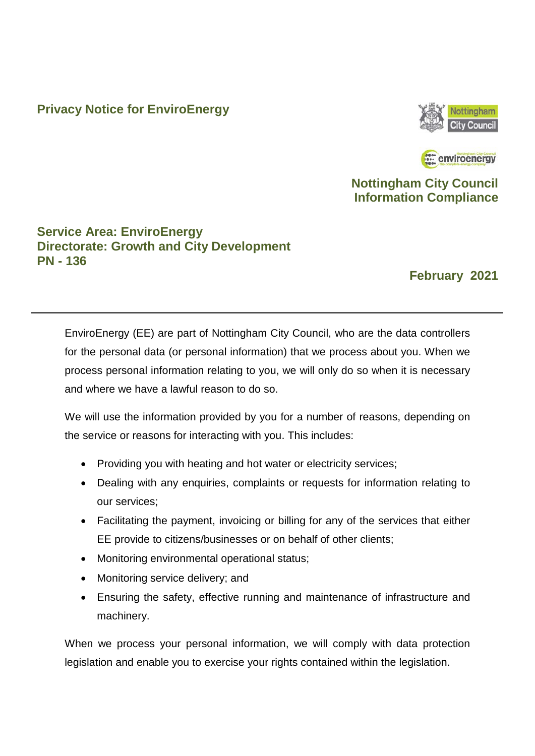### **Privacy Notice for EnviroEnergy**



: enviroenergy

### **Nottingham City Council Information Compliance**

### **Service Area: EnviroEnergy Directorate: Growth and City Development PN - 136**

### **February 2021**

EnviroEnergy (EE) are part of Nottingham City Council, who are the data controllers for the personal data (or personal information) that we process about you. When we process personal information relating to you, we will only do so when it is necessary and where we have a lawful reason to do so.

We will use the information provided by you for a number of reasons, depending on the service or reasons for interacting with you. This includes:

- Providing you with heating and hot water or electricity services;
- Dealing with any enquiries, complaints or requests for information relating to our services;
- Facilitating the payment, invoicing or billing for any of the services that either EE provide to citizens/businesses or on behalf of other clients;
- Monitoring environmental operational status;
- Monitoring service delivery; and
- Ensuring the safety, effective running and maintenance of infrastructure and machinery.

When we process your personal information, we will comply with data protection legislation and enable you to exercise your rights contained within the legislation.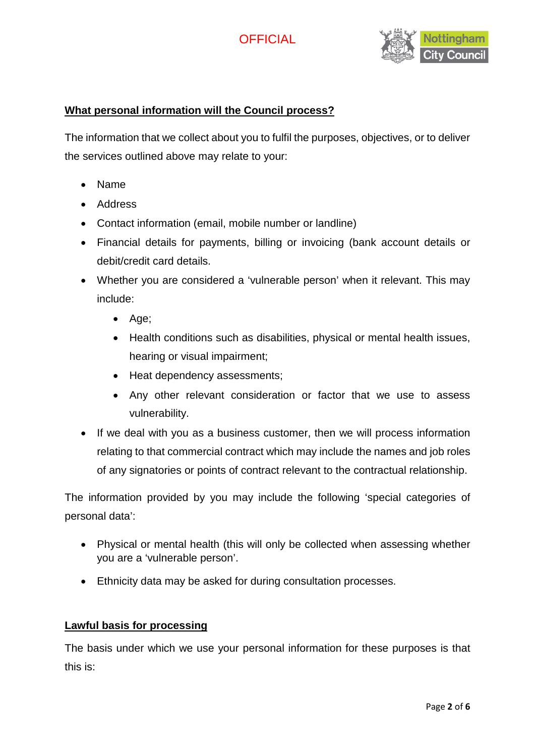



#### **What personal information will the Council process?**

The information that we collect about you to fulfil the purposes, objectives, or to deliver the services outlined above may relate to your:

- Name
- Address
- Contact information (email, mobile number or landline)
- Financial details for payments, billing or invoicing (bank account details or debit/credit card details.
- Whether you are considered a 'vulnerable person' when it relevant. This may include:
	- Age;
	- Health conditions such as disabilities, physical or mental health issues, hearing or visual impairment;
	- Heat dependency assessments;
	- Any other relevant consideration or factor that we use to assess vulnerability.
- If we deal with you as a business customer, then we will process information relating to that commercial contract which may include the names and job roles of any signatories or points of contract relevant to the contractual relationship.

The information provided by you may include the following 'special categories of personal data':

- Physical or mental health (this will only be collected when assessing whether you are a 'vulnerable person'.
- Ethnicity data may be asked for during consultation processes.

#### **Lawful basis for processing**

The basis under which we use your personal information for these purposes is that this is: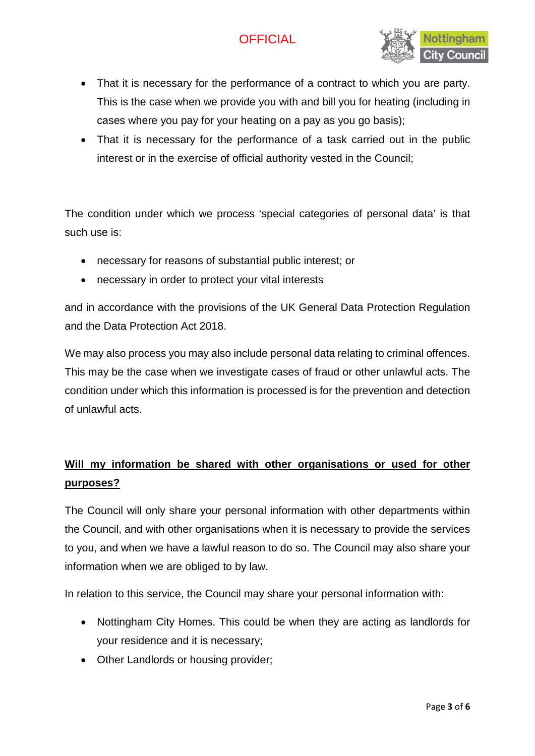

- That it is necessary for the performance of a contract to which you are party. This is the case when we provide you with and bill you for heating (including in cases where you pay for your heating on a pay as you go basis);
- That it is necessary for the performance of a task carried out in the public interest or in the exercise of official authority vested in the Council;

The condition under which we process 'special categories of personal data' is that such use is:

- necessary for reasons of substantial public interest; or
- necessary in order to protect your vital interests

and in accordance with the provisions of the UK General Data Protection Regulation and the Data Protection Act 2018.

We may also process you may also include personal data relating to criminal offences. This may be the case when we investigate cases of fraud or other unlawful acts. The condition under which this information is processed is for the prevention and detection of unlawful acts.

## **Will my information be shared with other organisations or used for other purposes?**

The Council will only share your personal information with other departments within the Council, and with other organisations when it is necessary to provide the services to you, and when we have a lawful reason to do so. The Council may also share your information when we are obliged to by law.

In relation to this service, the Council may share your personal information with:

- Nottingham City Homes. This could be when they are acting as landlords for your residence and it is necessary;
- Other Landlords or housing provider;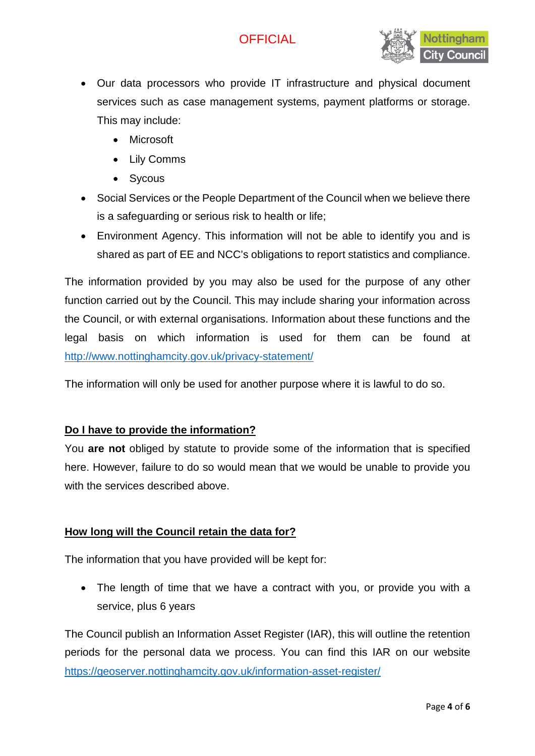

- Our data processors who provide IT infrastructure and physical document services such as case management systems, payment platforms or storage. This may include:
	- Microsoft
	- Lily Comms
	- Sycous
- Social Services or the People Department of the Council when we believe there is a safeguarding or serious risk to health or life;
- Environment Agency. This information will not be able to identify you and is shared as part of EE and NCC's obligations to report statistics and compliance.

The information provided by you may also be used for the purpose of any other function carried out by the Council. This may include sharing your information across the Council, or with external organisations. Information about these functions and the legal basis on which information is used for them can be found at <http://www.nottinghamcity.gov.uk/privacy-statement/>

The information will only be used for another purpose where it is lawful to do so.

#### **Do I have to provide the information?**

You **are not** obliged by statute to provide some of the information that is specified here. However, failure to do so would mean that we would be unable to provide you with the services described above.

#### **How long will the Council retain the data for?**

The information that you have provided will be kept for:

• The length of time that we have a contract with you, or provide you with a service, plus 6 years

The Council publish an Information Asset Register (IAR), this will outline the retention periods for the personal data we process. You can find this IAR on our website <https://geoserver.nottinghamcity.gov.uk/information-asset-register/>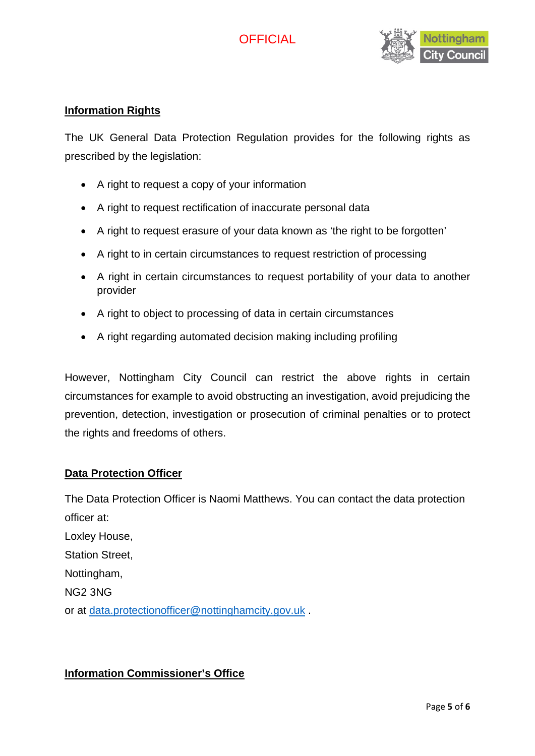

#### **Information Rights**

The UK General Data Protection Regulation provides for the following rights as prescribed by the legislation:

- A right to request a copy of your information
- A right to request rectification of inaccurate personal data
- A right to request erasure of your data known as 'the right to be forgotten'
- A right to in certain circumstances to request restriction of processing
- A right in certain circumstances to request portability of your data to another provider
- A right to object to processing of data in certain circumstances
- A right regarding automated decision making including profiling

However, Nottingham City Council can restrict the above rights in certain circumstances for example to avoid obstructing an investigation, avoid prejudicing the prevention, detection, investigation or prosecution of criminal penalties or to protect the rights and freedoms of others.

#### **Data Protection Officer**

The Data Protection Officer is Naomi Matthews. You can contact the data protection officer at: Loxley House, Station Street, Nottingham, NG2 3NG or at [data.protectionofficer@nottinghamcity.gov.uk](mailto:data.protectionofficer@nottinghamcity.gov.uk) .

#### **Information Commissioner's Office**